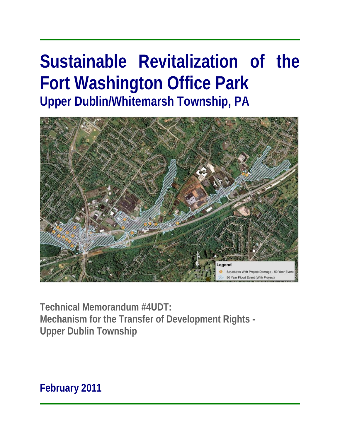# **Sustainable Revitalization of the Fort Washington Office Park Upper Dublin/Whitemarsh Township, PA**



**Technical Memorandum #4UDT: Mechanism for the Transfer of Development Rights - Upper Dublin Township** 

**February 2011**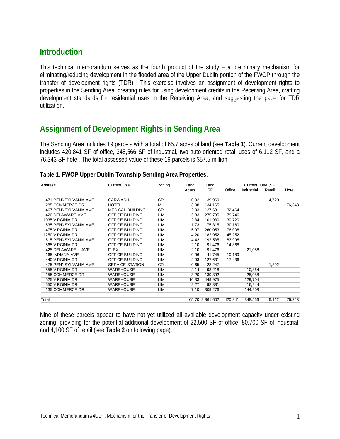## **Introduction**

This technical memorandum serves as the fourth product of the study – a preliminary mechanism for eliminating/reducing development in the flooded area of the Upper Dublin portion of the FWOP through the transfer of development rights (TDR). This exercise involves an assignment of development rights to properties in the Sending Area, creating rules for using development credits in the Receiving Area, crafting development standards for residential uses in the Receiving Area, and suggesting the pace for TDR utilization.

## **Assignment of Development Rights in Sending Area**

The Sending Area includes 19 parcels with a total of 65.7 acres of land (see **Table 1**). Current development includes 420,841 SF of office, 348,566 SF of industrial, two auto-oriented retail uses of 6,112 SF, and a 76,343 SF hotel. The total assessed value of these 19 parcels is \$57.5 million.

| <b>Address</b> |                            | <b>Current Use</b>      | Zoning     | Land  | Land            |         |            | Current Use (SF) |        |
|----------------|----------------------------|-------------------------|------------|-------|-----------------|---------|------------|------------------|--------|
|                |                            |                         |            | Acres | <b>SF</b>       | Office  | Industrial | Retail           | Hotel  |
|                |                            |                         |            |       |                 |         |            |                  |        |
|                | 471 PENNSYLVANIA AVE       | <b>CARWASH</b>          | <b>CR</b>  | 0.92  | 39,969          |         |            | 4,720            |        |
|                | 285 COMMERCE DR            | <b>HOTEL</b>            | м          | 3.08  | 134,165         |         |            |                  | 76,343 |
|                | 467 PENNSYLVANIA AVE       | <b>MEDICAL BUILDING</b> | <b>CR</b>  | 2.93  | 127,631         | 32,464  |            |                  |        |
|                | 420 DELAWARE AVE           | <b>OFFICE BUILDING</b>  | <b>LIM</b> | 6.33  | 275.735         | 79,746  |            |                  |        |
|                | 1035 VIRGINIA DR           | <b>OFFICE BUILDING</b>  | LIM        | 2.34  | 101,930         | 30,720  |            |                  |        |
|                | 535 PENNSYLVANIA AVE       | <b>OFFICE BUILDING</b>  | <b>LIM</b> | 1.73  | 75,315          | 30,160  |            |                  |        |
|                | 475 VIRGINIA DR            | <b>OFFICE BUILDING</b>  | <b>LIM</b> | 5.97  | 260,053         | 76,008  |            |                  |        |
|                | 1250 VIRGINIA DR           | <b>OFFICE BUILDING</b>  | <b>LIM</b> | 4.20  | 182,952         | 45,252  |            |                  |        |
|                | 515 PENNSYLVANIA AVE       | <b>OFFICE BUILDING</b>  | LIM        | 4.42  | 192,535         | 83,998  |            |                  |        |
|                | 565 VIRGINIA DR            | <b>OFFICE BUILDING</b>  | LIM        | 2.10  | 91,476          | 14,868  |            |                  |        |
|                | 425 DELAWARE<br><b>AVE</b> | <b>FLEX</b>             | LIM        | 2.10  | 91,476          |         | 21,058     |                  |        |
|                | <b>165 INDIANA AVE</b>     | <b>OFFICE BUILDING</b>  | LIM        | 0.96  | 41,745          | 10,189  |            |                  |        |
|                | 440 VIRGINIA DR            | <b>OFFICE BUILDING</b>  | LIM        | 2.93  | 127,631         | 17,436  |            |                  |        |
|                | 475 PENNSYLVANIA AVE       | <b>SERVICE STATION</b>  | CR         | 0.65  | 28,247          |         |            | 1,392            |        |
|                | 555 VIRGINIA DR            | <b>WAREHOUSE</b>        | LIM        | 2.14  | 93,218          |         | 10,864     |                  |        |
|                | 155 COMMERCE DR            | <b>WAREHOUSE</b>        | LIM        | 3.20  | 139,392         |         | 25,088     |                  |        |
|                | 525 VIRGINIA DR            | <b>WAREHOUSE</b>        | LIM        | 10.33 | 449,975         |         | 129,704    |                  |        |
|                | 550 VIRGINIA DR            | <b>WAREHOUSE</b>        | LIM        | 2.27  | 98,881          |         | 16,944     |                  |        |
|                | 135 COMMERCE DR            | <b>WAREHOUSE</b>        | LIM        | 7.10  | 309,276         |         | 144,908    |                  |        |
|                |                            |                         |            |       |                 |         |            |                  |        |
| Total          |                            |                         |            |       | 65.70 2,861,602 | 420.841 | 348.566    | 6,112            | 76,343 |

Nine of these parcels appear to have not yet utilized all available development capacity under existing zoning, providing for the potential additional development of 22,500 SF of office, 80,700 SF of industrial, and 4,100 SF of retail (see **Table 2** on following page).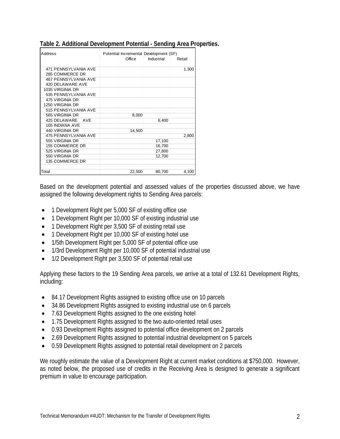| <b>Address</b>              |        | Potential Incremental Development (SF) |        |
|-----------------------------|--------|----------------------------------------|--------|
|                             | Office | Industrial                             | Retail |
|                             |        |                                        |        |
| 471 PENNSYLVANIA AVE        |        |                                        | 1,300  |
| 285 COMMERCE DR             |        |                                        |        |
| <b>467 PENNSYLVANIA AVE</b> |        |                                        |        |
| 420 DELAWARE AVE            |        |                                        |        |
| 1035 VIRGINIA DR            |        |                                        |        |
| 535 PENNSYLVANIA AVE        |        |                                        |        |
| 475 VIRGINIA DR             |        |                                        |        |
| 1250 VIRGINIA DR            |        |                                        |        |
| 515 PENNSYLVANIA AVE        |        |                                        |        |
| 565 VIRGINIA DR             | 8,000  |                                        |        |
| 425 DELAWARE<br>AVF         |        | 6,400                                  |        |
| 165 INDIANA AVE             |        |                                        |        |
| 440 VIRGINIA DR             | 14,500 |                                        |        |
| 475 PENNSYLVANIA AVE        |        |                                        | 2,800  |
| 555 VIRGINIA DR             |        | 17,100                                 |        |
| 155 COMMERCE DR             |        | 16,700                                 |        |
| 525 VIRGINIA DR             |        | 27,800                                 |        |
| 550 VIRGINIA DR             |        | 12,700                                 |        |
| 135 COMMERCE DR             |        |                                        |        |
|                             |        |                                        |        |
| Total                       | 22,500 | 80,700                                 | 4,100  |

#### **Table 2. Additional Development Potential - Sending Area Properties.**

Based on the development potential and assessed values of the properties discussed above, we have assigned the following development rights to Sending Area parcels:

- 1 Development Right per 5,000 SF of existing office use
- 1 Development Right per 10,000 SF of existing industrial use
- 1 Development Right per 3,500 SF of existing retail use
- 1 Development Right per 10,000 SF of existing hotel use
- 1/5th Development Right per 5,000 SF of potential office use
- 1/3rd Development Right per 10,000 SF of potential industrial use
- 1/2 Development Right per 3,500 SF of potential retail use

Applying these factors to the 19 Sending Area parcels, we arrive at a total of 132.61 Development Rights, including:

- 84.17 Development Rights assigned to existing office use on 10 parcels
- 34.86 Development Rights assigned to existing industrial use on 6 parcels
- 7.63 Development Rights assigned to the one existing hotel
- 1.75 Development Rights assigned to the two auto-oriented retail uses
- 0.93 Development Rights assigned to potential office development on 2 parcels
- 2.69 Development Rights assigned to potential industrial development on 5 parcels
- 0.59 Development Rights assigned to potential retail development on 2 parcels

We roughly estimate the value of a Development Right at current market conditions at \$750,000. However, as noted below, the proposed use of credits in the Receiving Area is designed to generate a significant premium in value to encourage participation.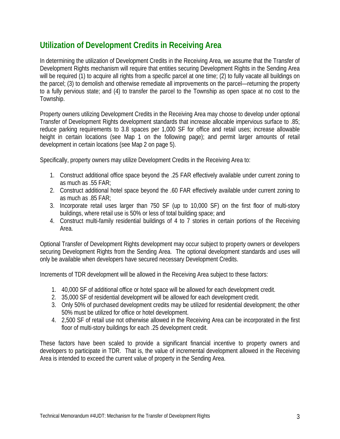# **Utilization of Development Credits in Receiving Area**

In determining the utilization of Development Credits in the Receiving Area, we assume that the Transfer of Development Rights mechanism will require that entities securing Development Rights in the Sending Area will be required (1) to acquire all rights from a specific parcel at one time; (2) to fully vacate all buildings on the parcel; (3) to demolish and otherwise remediate all improvements on the parcel—returning the property to a fully pervious state; and (4) to transfer the parcel to the Township as open space at no cost to the Township.

Property owners utilizing Development Credits in the Receiving Area may choose to develop under optional Transfer of Development Rights development standards that increase allocable impervious surface to .85; reduce parking requirements to 3.8 spaces per 1,000 SF for office and retail uses; increase allowable height in certain locations (see Map 1 on the following page); and permit larger amounts of retail development in certain locations (see Map 2 on page 5).

Specifically, property owners may utilize Development Credits in the Receiving Area to:

- 1. Construct additional office space beyond the .25 FAR effectively available under current zoning to as much as .55 FAR;
- 2. Construct additional hotel space beyond the .60 FAR effectively available under current zoning to as much as .85 FAR;
- 3. Incorporate retail uses larger than 750 SF (up to 10,000 SF) on the first floor of multi-story buildings, where retail use is 50% or less of total building space; and
- 4. Construct multi-family residential buildings of 4 to 7 stories in certain portions of the Receiving Area.

Optional Transfer of Development Rights development may occur subject to property owners or developers securing Development Rights from the Sending Area. The optional development standards and uses will only be available when developers have secured necessary Development Credits.

Increments of TDR development will be allowed in the Receiving Area subject to these factors:

- 1. 40,000 SF of additional office or hotel space will be allowed for each development credit.
- 2. 35,000 SF of residential development will be allowed for each development credit.
- 3. Only 50% of purchased development credits may be utilized for residential development; the other 50% must be utilized for office or hotel development.
- 4. 2,500 SF of retail use not otherwise allowed in the Receiving Area can be incorporated in the first floor of multi-story buildings for each .25 development credit.

These factors have been scaled to provide a significant financial incentive to property owners and developers to participate in TDR. That is, the value of incremental development allowed in the Receiving Area is intended to exceed the current value of property in the Sending Area.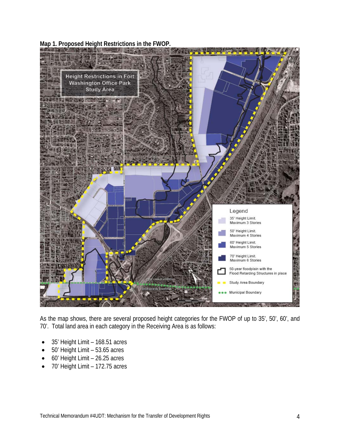**Map 1. Proposed Height Restrictions in the FWOP.** 



As the map shows, there are several proposed height categories for the FWOP of up to 35', 50', 60', and 70'. Total land area in each category in the Receiving Area is as follows:

- 35' Height Limit 168.51 acres
- 50' Height Limit 53.65 acres
- 60' Height Limit 26.25 acres
- 70' Height Limit 172.75 acres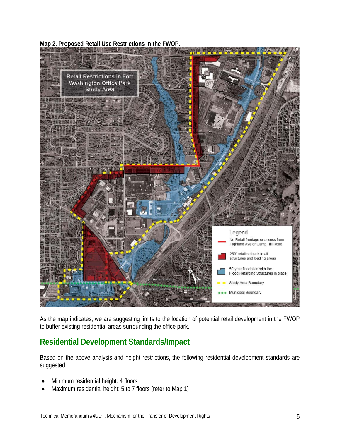**Map 2. Proposed Retail Use Restrictions in the FWOP.** 



As the map indicates, we are suggesting limits to the location of potential retail development in the FWOP to buffer existing residential areas surrounding the office park.

# **Residential Development Standards/Impact**

Based on the above analysis and height restrictions, the following residential development standards are suggested:

- Minimum residential height: 4 floors
- Maximum residential height: 5 to 7 floors (refer to Map 1)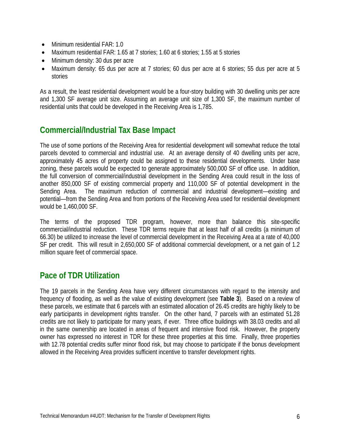- Minimum residential FAR: 1.0
- Maximum residential FAR: 1.65 at 7 stories; 1.60 at 6 stories; 1.55 at 5 stories
- Minimum density: 30 dus per acre
- Maximum density: 65 dus per acre at 7 stories; 60 dus per acre at 6 stories; 55 dus per acre at 5 stories

As a result, the least residential development would be a four-story building with 30 dwelling units per acre and 1,300 SF average unit size. Assuming an average unit size of 1,300 SF, the maximum number of residential units that could be developed in the Receiving Area is 1,785.

### **Commercial/Industrial Tax Base Impact**

The use of some portions of the Receiving Area for residential development will somewhat reduce the total parcels devoted to commercial and industrial use. At an average density of 40 dwelling units per acre, approximately 45 acres of property could be assigned to these residential developments. Under base zoning, these parcels would be expected to generate approximately 500,000 SF of office use. In addition, the full conversion of commercial/industrial development in the Sending Area could result in the loss of another 850,000 SF of existing commercial property and 110,000 SF of potential development in the Sending Area. The maximum reduction of commercial and industrial development—existing and potential—from the Sending Area and from portions of the Receiving Area used for residential development would be 1,460,000 SF.

The terms of the proposed TDR program, however, more than balance this site-specific commercial/industrial reduction. These TDR terms require that at least half of all credits (a minimum of 66.30) be utilized to increase the level of commercial development in the Receiving Area at a rate of 40,000 SF per credit. This will result in 2,650,000 SF of additional commercial development, or a net gain of 1.2 million square feet of commercial space.

#### **Pace of TDR Utilization**

The 19 parcels in the Sending Area have very different circumstances with regard to the intensity and frequency of flooding, as well as the value of existing development (see **Table 3**). Based on a review of these parcels, we estimate that 6 parcels with an estimated allocation of 26.45 credits are highly likely to be early participants in development rights transfer. On the other hand, 7 parcels with an estimated 51.28 credits are not likely to participate for many years, if ever. Three office buildings with 38.03 credits and all in the same ownership are located in areas of frequent and intensive flood risk. However, the property owner has expressed no interest in TDR for these three properties at this time. Finally, three properties with 12.78 potential credits suffer minor flood risk, but may choose to participate if the bonus development allowed in the Receiving Area provides sufficient incentive to transfer development rights.